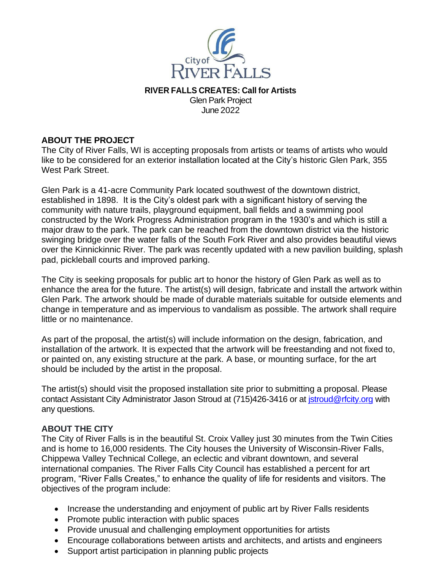

**RIVER FALLS CREATES: Call for Artists** Glen Park Project

June 2022

# **ABOUT THE PROJECT**

The City of River Falls, WI is accepting proposals from artists or teams of artists who would like to be considered for an exterior installation located at the City's historic Glen Park, 355 West Park Street.

Glen Park is a 41-acre Community Park located southwest of the downtown district, established in 1898. It is the City's oldest park with a significant history of serving the community with nature trails, playground equipment, ball fields and a swimming pool constructed by the Work Progress Administration program in the 1930's and which is still a major draw to the park. The park can be reached from the downtown district via the historic swinging bridge over the water falls of the South Fork River and also provides beautiful views over the Kinnickinnic River. The park was recently updated with a new pavilion building, splash pad, pickleball courts and improved parking.

The City is seeking proposals for public art to honor the history of Glen Park as well as to enhance the area for the future. The artist(s) will design, fabricate and install the artwork within Glen Park. The artwork should be made of durable materials suitable for outside elements and change in temperature and as impervious to vandalism as possible. The artwork shall require little or no maintenance.

As part of the proposal, the artist(s) will include information on the design, fabrication, and installation of the artwork. It is expected that the artwork will be freestanding and not fixed to, or painted on, any existing structure at the park. A base, or mounting surface, for the art should be included by the artist in the proposal.

The artist(s) should visit the proposed installation site prior to submitting a proposal. Please contact Assistant City Administrator Jason Stroud at (715)426-3416 or at istroud@rfcity.org with any questions.

### **ABOUT THE CITY**

The City of River Falls is in the beautiful St. Croix Valley just 30 minutes from the Twin Cities and is home to 16,000 residents. The City houses the University of Wisconsin-River Falls, Chippewa Valley Technical College, an eclectic and vibrant downtown, and several international companies. The River Falls City Council has established a percent for art program, "River Falls Creates," to enhance the quality of life for residents and visitors. The objectives of the program include:

- Increase the understanding and enjoyment of public art by River Falls residents
- Promote public interaction with public spaces
- Provide unusual and challenging employment opportunities for artists
- Encourage collaborations between artists and architects, and artists and engineers
- Support artist participation in planning public projects